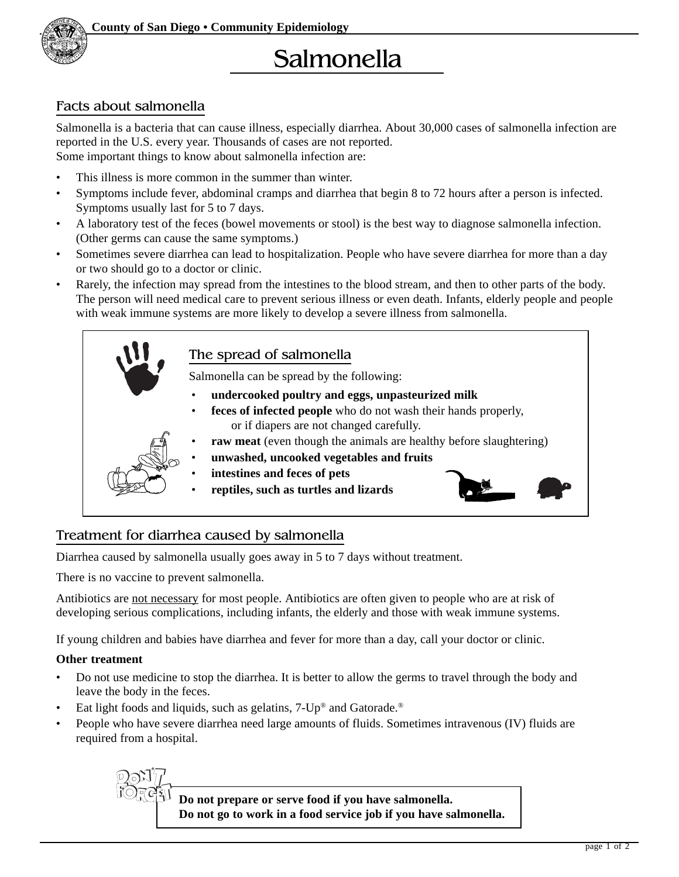

## Facts about salmonella

Salmonella is a bacteria that can cause illness, especially diarrhea. About 30,000 cases of salmonella infection are reported in the U.S. every year. Thousands of cases are not reported. Some important things to know about salmonella infection are:

- This illness is more common in the summer than winter.
- Symptoms include fever, abdominal cramps and diarrhea that begin 8 to 72 hours after a person is infected. Symptoms usually last for 5 to 7 days.
- A laboratory test of the feces (bowel movements or stool) is the best way to diagnose salmonella infection. (Other germs can cause the same symptoms.)
- Sometimes severe diarrhea can lead to hospitalization. People who have severe diarrhea for more than a day or two should go to a doctor or clinic.
- Rarely, the infection may spread from the intestines to the blood stream, and then to other parts of the body. The person will need medical care to prevent serious illness or even death. Infants, elderly people and people with weak immune systems are more likely to develop a severe illness from salmonella.



## Treatment for diarrhea caused by salmonella

Diarrhea caused by salmonella usually goes away in 5 to 7 days without treatment.

There is no vaccine to prevent salmonella.

Antibiotics are not necessary for most people. Antibiotics are often given to people who are at risk of developing serious complications, including infants, the elderly and those with weak immune systems.

If young children and babies have diarrhea and fever for more than a day, call your doctor or clinic.

#### **Other treatment**

- Do not use medicine to stop the diarrhea. It is better to allow the germs to travel through the body and leave the body in the feces.
- Eat light foods and liquids, such as gelatins, 7-Up® and Gatorade.<sup>®</sup>
- People who have severe diarrhea need large amounts of fluids. Sometimes intravenous (IV) fluids are required from a hospital.



**Do not prepare or serve food if you have salmonella. Do not go to work in a food service job if you have salmonella.**